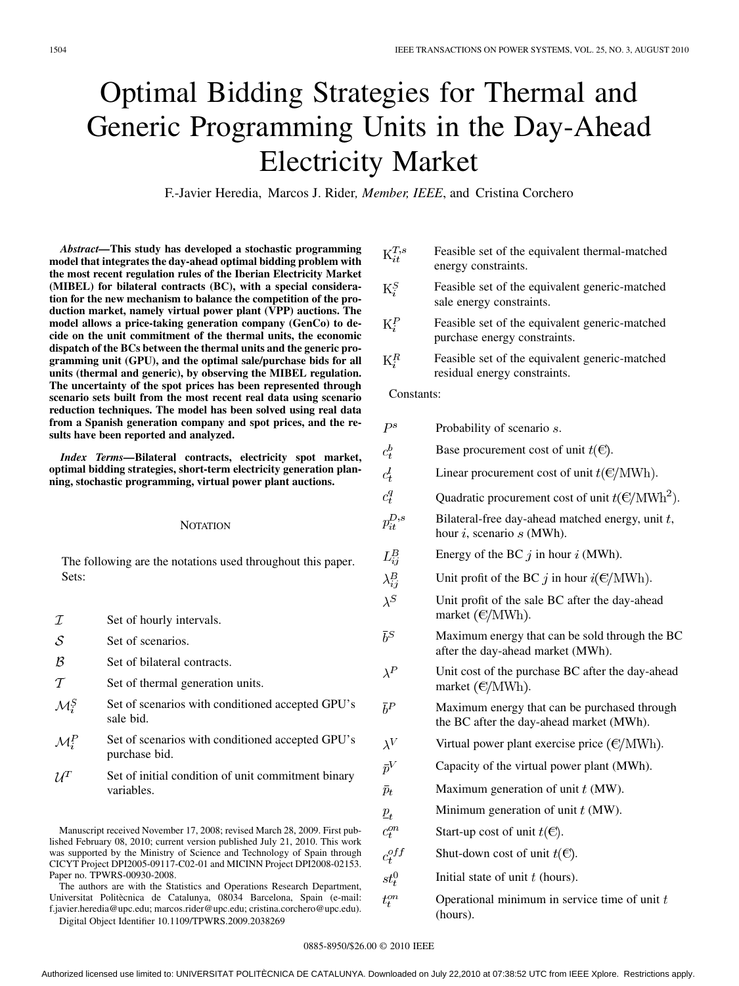# Optimal Bidding Strategies for Thermal and Generic Programming Units in the Day-Ahead Electricity Market

F.-Javier Heredia, Marcos J. Rider*, Member, IEEE*, and Cristina Corchero

*Abstract—***This study has developed a stochastic programming model that integrates the day-ahead optimal bidding problem with the most recent regulation rules of the Iberian Electricity Market (MIBEL) for bilateral contracts (BC), with a special consideration for the new mechanism to balance the competition of the production market, namely virtual power plant (VPP) auctions. The model allows a price-taking generation company (GenCo) to decide on the unit commitment of the thermal units, the economic dispatch of the BCs between the thermal units and the generic programming unit (GPU), and the optimal sale/purchase bids for all units (thermal and generic), by observing the MIBEL regulation. The uncertainty of the spot prices has been represented through scenario sets built from the most recent real data using scenario reduction techniques. The model has been solved using real data from a Spanish generation company and spot prices, and the results have been reported and analyzed.**

*Index Terms—***Bilateral contracts, electricity spot market, optimal bidding strategies, short-term electricity generation planning, stochastic programming, virtual power plant auctions.**

#### **NOTATION**

The following are the notations used throughout this paper. Sets:

- $\mathcal{S}_{0}$ Set of scenarios.
- $\mathcal{B}$ Set of bilateral contracts.
- $\tau$ Set of thermal generation units.
- Set of scenarios with conditioned accepted GPU's  $\mathcal{M}_i^S$ sale bid.
- $\mathcal{M}_i^P$ Set of scenarios with conditioned accepted GPU's purchase bid.
- $\mathcal{U}^T$ Set of initial condition of unit commitment binary variables.

Digital Object Identifier 10.1109/TPWRS.2009.2038269

- $K_{it}^{T,s}$ Feasible set of the equivalent thermal-matched energy constraints.
- $K^S_i$ Feasible set of the equivalent generic-matched sale energy constraints.
- $K^P_i$ Feasible set of the equivalent generic-matched purchase energy constraints.
- Feasible set of the equivalent generic-matched  $K_i^R$ residual energy constraints.

Constants:

| $P^s$            | Probability of scenario s.                                                               |
|------------------|------------------------------------------------------------------------------------------|
| $c_t^b$          | Base procurement cost of unit $t(\mathbf{\Theta})$ .                                     |
| $c_t^l$          | Linear procurement cost of unit $t(\mathrm{E}/\mathrm{MWh})$ .                           |
| $c_t^q$          | Quadratic procurement cost of unit $t(\text{E}/\text{MWh}^2)$ .                          |
| $p_{it}^{D,s}$   | Bilateral-free day-ahead matched energy, unit $t$ ,<br>hour $i$ , scenario $s$ (MWh).    |
| $L_{ii}^B$       | Energy of the BC $j$ in hour $i$ (MWh).                                                  |
| $\lambda_{ij}^B$ | Unit profit of the BC j in hour $i(\mathcal{E}/\text{MWh})$ .                            |
| $\lambda^S$      | Unit profit of the sale BC after the day-ahead<br>market ( $\varepsilon$ /MWh).          |
| $\bar{b}^S$      | Maximum energy that can be sold through the BC<br>after the day-ahead market (MWh).      |
| $\lambda^P$      | Unit cost of the purchase BC after the day-ahead<br>market ( $\epsilon$ /MWh).           |
| $\bar{b}^P$      | Maximum energy that can be purchased through<br>the BC after the day-ahead market (MWh). |
| $\lambda^V$      | Virtual power plant exercise price $(\text{E}/\text{MWh})$ .                             |
| $\bar p^V$       | Capacity of the virtual power plant (MWh).                                               |
| $\bar{p}_t$      | Maximum generation of unit $t$ (MW).                                                     |
| $\mathbf{p}_t$   | Minimum generation of unit $t$ (MW).                                                     |
| $c_t^{on}$       | Start-up cost of unit $t(\mathbf{\Theta})$ .                                             |
| $c_t^{off}$      | Shut-down cost of unit $t(\mathcal{C})$ .                                                |
| $st_t^0$         | Initial state of unit $t$ (hours).                                                       |
| $t_t^{on}$       | Operational minimum in service time of unit $t$                                          |

(hours).

Manuscript received November 17, 2008; revised March 28, 2009. First published February 08, 2010; current version published July 21, 2010. This work was supported by the Ministry of Science and Technology of Spain through CICYT Project DPI2005-09117-C02-01 and MICINN Project DPI2008-02153. Paper no. TPWRS-00930-2008.

The authors are with the Statistics and Operations Research Department, Universitat Politècnica de Catalunya, 08034 Barcelona, Spain (e-mail: f.javier.heredia@upc.edu; marcos.rider@upc.edu; cristina.corchero@upc.edu).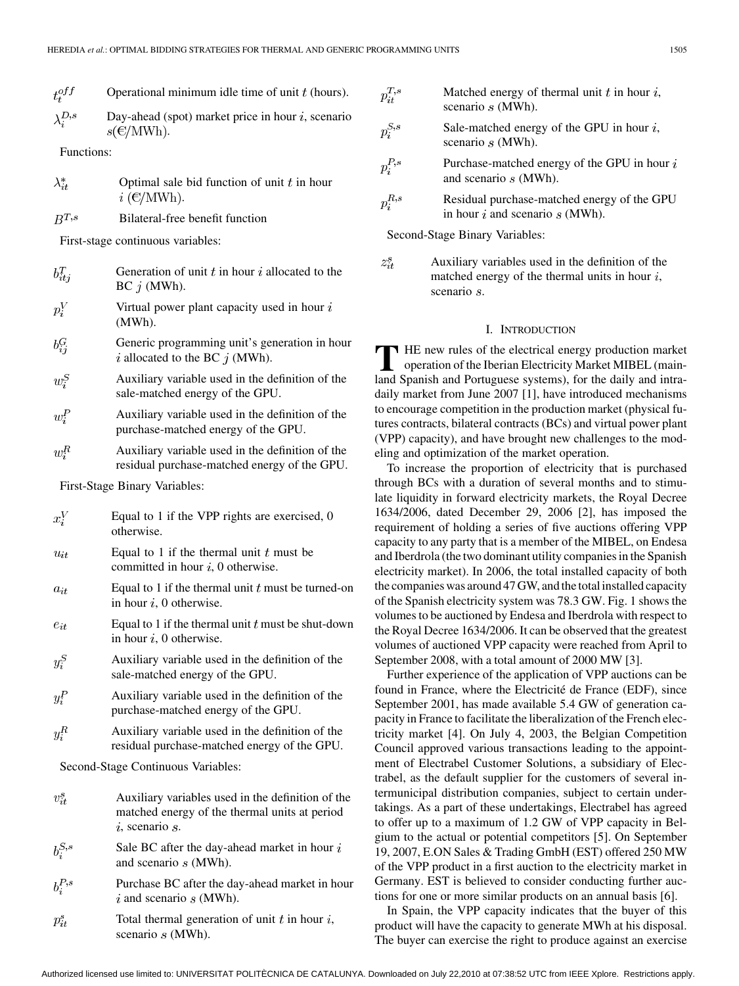| $t^{off}_t$ | Operational minimum idle time of unit $t$ (hours). |
|-------------|----------------------------------------------------|
|-------------|----------------------------------------------------|

$$
\lambda_i^{D,s}
$$
 Day-ahead (spot) market price in hour *i*, scenario 
$$
s(\mathcal{E}/\text{MWh}).
$$

Functions:

| $\lambda_{it}^*$ | Optimal sale bid function of unit $t$ in hour |
|------------------|-----------------------------------------------|
|                  | $i$ ( $\varepsilon/MWh$ ).                    |

 $B^{T,s}$ Bilateral-free benefit function

First-stage continuous variables:

| $b_{itj}^T$ | Generation of unit $t$ in hour $i$ allocated to the |
|-------------|-----------------------------------------------------|
|             | $BC j$ (MWh).                                       |

- $p_i^V$ Virtual power plant capacity used in hour i (MWh).
- $b_{ii}^G$ Generic programming unit's generation in hour i allocated to the BC  $j$  (MWh).
- Auxiliary variable used in the definition of the  $w_i^S$ sale-matched energy of the GPU.
- Auxiliary variable used in the definition of the  $w_i^P$ purchase-matched energy of the GPU.
- $w_i^R$ Auxiliary variable used in the definition of the residual purchase-matched energy of the GPU.

First-Stage Binary Variables:

| $x_i^V$    | Equal to 1 if the VPP rights are exercised, $0$<br>otherwise.                                                              |
|------------|----------------------------------------------------------------------------------------------------------------------------|
| $u_{it}$   | Equal to 1 if the thermal unit $t$ must be<br>committed in hour $i$ , 0 otherwise.                                         |
| $a_{it}$   | Equal to 1 if the thermal unit $t$ must be turned-on<br>in hour $i$ , 0 otherwise.                                         |
| $e_{it}$   | Equal to 1 if the thermal unit $t$ must be shut-down<br>in hour $i$ , 0 otherwise.                                         |
| $y_i^S$    | Auxiliary variable used in the definition of the<br>sale-matched energy of the GPU.                                        |
| $y_i^P$    | Auxiliary variable used in the definition of the<br>purchase-matched energy of the GPU.                                    |
| $y_i^R$    | Auxiliary variable used in the definition of the<br>residual purchase-matched energy of the GPU.                           |
|            | Second-Stage Continuous Variables:                                                                                         |
| $v_{it}^s$ | Auxiliary variables used in the definition of the<br>matched energy of the thermal units at period<br>$i$ , scenario $s$ . |

- $b^{S,s}$ Sale BC after the day-ahead market in hour  $i$ and scenario  $s$  (MWh).
- $b^{P,s}$ Purchase BC after the day-ahead market in hour  $i$  and scenario  $s$  (MWh).
- Total thermal generation of unit  $t$  in hour  $i$ ,  $p_{it}^s$ scenario  $s$  (MWh).
- $p_{it}^{T,s}$ Matched energy of thermal unit  $t$  in hour  $i$ , scenario  $s$  (MWh).
- $p_i^{S,s}$ Sale-matched energy of the GPU in hour  $i$ , scenario  $s$  (MWh).
- $p_i^{P,s}$ Purchase-matched energy of the GPU in hour  $i$ and scenario  $s$  (MWh).
- $p_i^{R,s}$ Residual purchase-matched energy of the GPU in hour  $i$  and scenario  $s$  (MWh).

Second-Stage Binary Variables:

 $z_{it}^s$ Auxiliary variables used in the definition of the matched energy of the thermal units in hour  $i$ , scenario s.

## I. INTRODUCTION

**T** HE new rules of the electrical energy production market operation of the Iberian Electricity Market MIBEL (mainland Spanish and Portuguese systems), for the daily and intradaily market from June 2007 [1], have introduced mechanisms to encourage competition in the production market (physical futures contracts, bilateral contracts (BCs) and virtual power plant (VPP) capacity), and have brought new challenges to the modeling and optimization of the market operation.

To increase the proportion of electricity that is purchased through BCs with a duration of several months and to stimulate liquidity in forward electricity markets, the Royal Decree 1634/2006, dated December 29, 2006 [2], has imposed the requirement of holding a series of five auctions offering VPP capacity to any party that is a member of the MIBEL, on Endesa and Iberdrola (the two dominant utility companies in the Spanish electricity market). In 2006, the total installed capacity of both the companies was around 47 GW, and the total installed capacity of the Spanish electricity system was 78.3 GW. Fig. 1 shows the volumes to be auctioned by Endesa and Iberdrola with respect to the Royal Decree 1634/2006. It can be observed that the greatest volumes of auctioned VPP capacity were reached from April to September 2008, with a total amount of 2000 MW [3].

Further experience of the application of VPP auctions can be found in France, where the Electricité de France (EDF), since September 2001, has made available 5.4 GW of generation capacity in France to facilitate the liberalization of the French electricity market [4]. On July 4, 2003, the Belgian Competition Council approved various transactions leading to the appointment of Electrabel Customer Solutions, a subsidiary of Electrabel, as the default supplier for the customers of several intermunicipal distribution companies, subject to certain undertakings. As a part of these undertakings, Electrabel has agreed to offer up to a maximum of 1.2 GW of VPP capacity in Belgium to the actual or potential competitors [5]. On September 19, 2007, E.ON Sales & Trading GmbH (EST) offered 250 MW of the VPP product in a first auction to the electricity market in Germany. EST is believed to consider conducting further auctions for one or more similar products on an annual basis [6].

In Spain, the VPP capacity indicates that the buyer of this product will have the capacity to generate MWh at his disposal. The buyer can exercise the right to produce against an exercise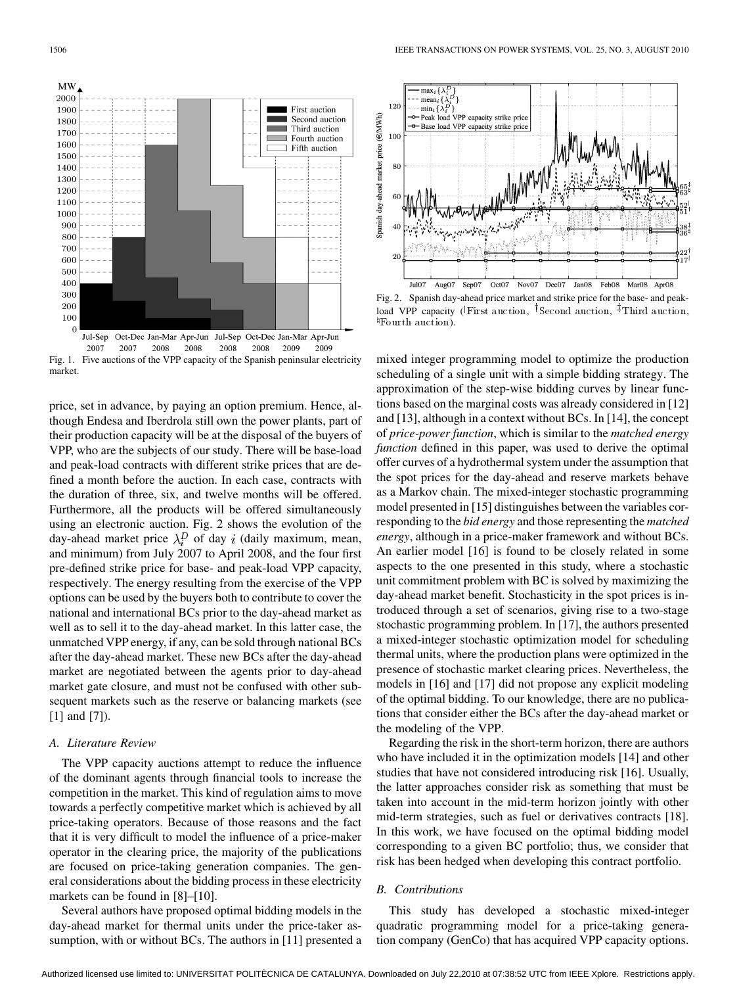

Fig. 1. Five auctions of the VPP capacity of the Spanish peninsular electricity market.

price, set in advance, by paying an option premium. Hence, although Endesa and Iberdrola still own the power plants, part of their production capacity will be at the disposal of the buyers of VPP, who are the subjects of our study. There will be base-load and peak-load contracts with different strike prices that are defined a month before the auction. In each case, contracts with the duration of three, six, and twelve months will be offered. Furthermore, all the products will be offered simultaneously using an electronic auction. Fig. 2 shows the evolution of the day-ahead market price  $\lambda_i^D$  of day i (daily maximum, mean, and minimum) from July 2007 to April 2008, and the four first pre-defined strike price for base- and peak-load VPP capacity, respectively. The energy resulting from the exercise of the VPP options can be used by the buyers both to contribute to cover the national and international BCs prior to the day-ahead market as well as to sell it to the day-ahead market. In this latter case, the unmatched VPP energy, if any, can be sold through national BCs after the day-ahead market. These new BCs after the day-ahead market are negotiated between the agents prior to day-ahead market gate closure, and must not be confused with other subsequent markets such as the reserve or balancing markets (see [1] and [7]).

# *A. Literature Review*

The VPP capacity auctions attempt to reduce the influence of the dominant agents through financial tools to increase the competition in the market. This kind of regulation aims to move towards a perfectly competitive market which is achieved by all price-taking operators. Because of those reasons and the fact that it is very difficult to model the influence of a price-maker operator in the clearing price, the majority of the publications are focused on price-taking generation companies. The general considerations about the bidding process in these electricity markets can be found in [8]–[10].

Several authors have proposed optimal bidding models in the day-ahead market for thermal units under the price-taker assumption, with or without BCs. The authors in [11] presented a



Fig. 2. Spanish day-ahead price market and strike price for the base- and peakload VPP capacity (First auction, <sup>†</sup>Second auction, <sup>‡</sup>Third auction, Fourth auction).

mixed integer programming model to optimize the production scheduling of a single unit with a simple bidding strategy. The approximation of the step-wise bidding curves by linear functions based on the marginal costs was already considered in [12] and [13], although in a context without BCs. In [14], the concept of *price-power function*, which is similar to the *matched energy function* defined in this paper, was used to derive the optimal offer curves of a hydrothermal system under the assumption that the spot prices for the day-ahead and reserve markets behave as a Markov chain. The mixed-integer stochastic programming model presented in [15] distinguishes between the variables corresponding to the *bid energy* and those representing the *matched energy*, although in a price-maker framework and without BCs. An earlier model [16] is found to be closely related in some aspects to the one presented in this study, where a stochastic unit commitment problem with BC is solved by maximizing the day-ahead market benefit. Stochasticity in the spot prices is introduced through a set of scenarios, giving rise to a two-stage stochastic programming problem. In [17], the authors presented a mixed-integer stochastic optimization model for scheduling thermal units, where the production plans were optimized in the presence of stochastic market clearing prices. Nevertheless, the models in [16] and [17] did not propose any explicit modeling of the optimal bidding. To our knowledge, there are no publications that consider either the BCs after the day-ahead market or the modeling of the VPP.

Regarding the risk in the short-term horizon, there are authors who have included it in the optimization models [14] and other studies that have not considered introducing risk [16]. Usually, the latter approaches consider risk as something that must be taken into account in the mid-term horizon jointly with other mid-term strategies, such as fuel or derivatives contracts [18]. In this work, we have focused on the optimal bidding model corresponding to a given BC portfolio; thus, we consider that risk has been hedged when developing this contract portfolio.

## *B. Contributions*

This study has developed a stochastic mixed-integer quadratic programming model for a price-taking generation company (GenCo) that has acquired VPP capacity options.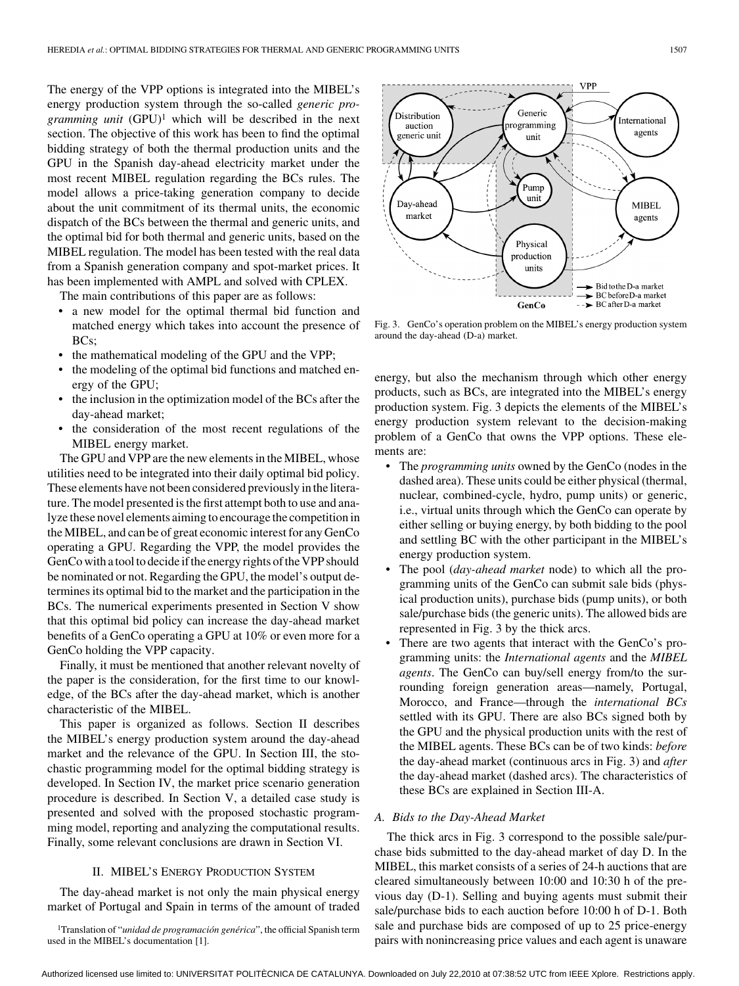The energy of the VPP options is integrated into the MIBEL's energy production system through the so-called *generic programming unit* (GPU)1 which will be described in the next section. The objective of this work has been to find the optimal bidding strategy of both the thermal production units and the GPU in the Spanish day-ahead electricity market under the most recent MIBEL regulation regarding the BCs rules. The model allows a price-taking generation company to decide about the unit commitment of its thermal units, the economic dispatch of the BCs between the thermal and generic units, and the optimal bid for both thermal and generic units, based on the MIBEL regulation. The model has been tested with the real data from a Spanish generation company and spot-market prices. It has been implemented with AMPL and solved with CPLEX.

The main contributions of this paper are as follows:

- a new model for the optimal thermal bid function and matched energy which takes into account the presence of BCs;
- the mathematical modeling of the GPU and the VPP;
- the modeling of the optimal bid functions and matched energy of the GPU;
- the inclusion in the optimization model of the BCs after the day-ahead market;
- the consideration of the most recent regulations of the MIBEL energy market.

The GPU and VPP are the new elements in the MIBEL, whose utilities need to be integrated into their daily optimal bid policy. These elements have not been considered previously in the literature. The model presented is the first attempt both to use and analyze these novel elements aiming to encourage the competition in the MIBEL, and can be of great economic interest for any GenCo operating a GPU. Regarding the VPP, the model provides the GenCo with a tool to decide if the energy rights of the VPP should be nominated or not. Regarding the GPU, the model's output determines its optimal bid to the market and the participation in the BCs. The numerical experiments presented in Section V show that this optimal bid policy can increase the day-ahead market benefits of a GenCo operating a GPU at 10% or even more for a GenCo holding the VPP capacity.

Finally, it must be mentioned that another relevant novelty of the paper is the consideration, for the first time to our knowledge, of the BCs after the day-ahead market, which is another characteristic of the MIBEL.

This paper is organized as follows. Section II describes the MIBEL's energy production system around the day-ahead market and the relevance of the GPU. In Section III, the stochastic programming model for the optimal bidding strategy is developed. In Section IV, the market price scenario generation procedure is described. In Section V, a detailed case study is presented and solved with the proposed stochastic programming model, reporting and analyzing the computational results. Finally, some relevant conclusions are drawn in Section VI.

## II. MIBEL'S ENERGY PRODUCTION SYSTEM

The day-ahead market is not only the main physical energy market of Portugal and Spain in terms of the amount of traded



Fig. 3. GenCo's operation problem on the MIBEL's energy production system around the day-ahead (D-a) market.

energy, but also the mechanism through which other energy products, such as BCs, are integrated into the MIBEL's energy production system. Fig. 3 depicts the elements of the MIBEL's energy production system relevant to the decision-making problem of a GenCo that owns the VPP options. These elements are:

- The *programming units* owned by the GenCo (nodes in the dashed area). These units could be either physical (thermal, nuclear, combined-cycle, hydro, pump units) or generic, i.e., virtual units through which the GenCo can operate by either selling or buying energy, by both bidding to the pool and settling BC with the other participant in the MIBEL's energy production system.
- The pool (*day-ahead market* node) to which all the programming units of the GenCo can submit sale bids (physical production units), purchase bids (pump units), or both sale/purchase bids (the generic units). The allowed bids are represented in Fig. 3 by the thick arcs.
- There are two agents that interact with the GenCo's programming units: the *International agents* and the *MIBEL agents*. The GenCo can buy/sell energy from/to the surrounding foreign generation areas—namely, Portugal, Morocco, and France—through the *international BCs* settled with its GPU. There are also BCs signed both by the GPU and the physical production units with the rest of the MIBEL agents. These BCs can be of two kinds: *before* the day-ahead market (continuous arcs in Fig. 3) and *after* the day-ahead market (dashed arcs). The characteristics of these BCs are explained in Section III-A.

## *A. Bids to the Day-Ahead Market*

The thick arcs in Fig. 3 correspond to the possible sale/purchase bids submitted to the day-ahead market of day D. In the MIBEL, this market consists of a series of 24-h auctions that are cleared simultaneously between 10:00 and 10:30 h of the previous day (D-1). Selling and buying agents must submit their sale/purchase bids to each auction before 10:00 h of D-1. Both sale and purchase bids are composed of up to 25 price-energy pairs with nonincreasing price values and each agent is unaware

<sup>1</sup>Translation of "*unidad de programación genérica*", the official Spanish term used in the MIBEL's documentation [1].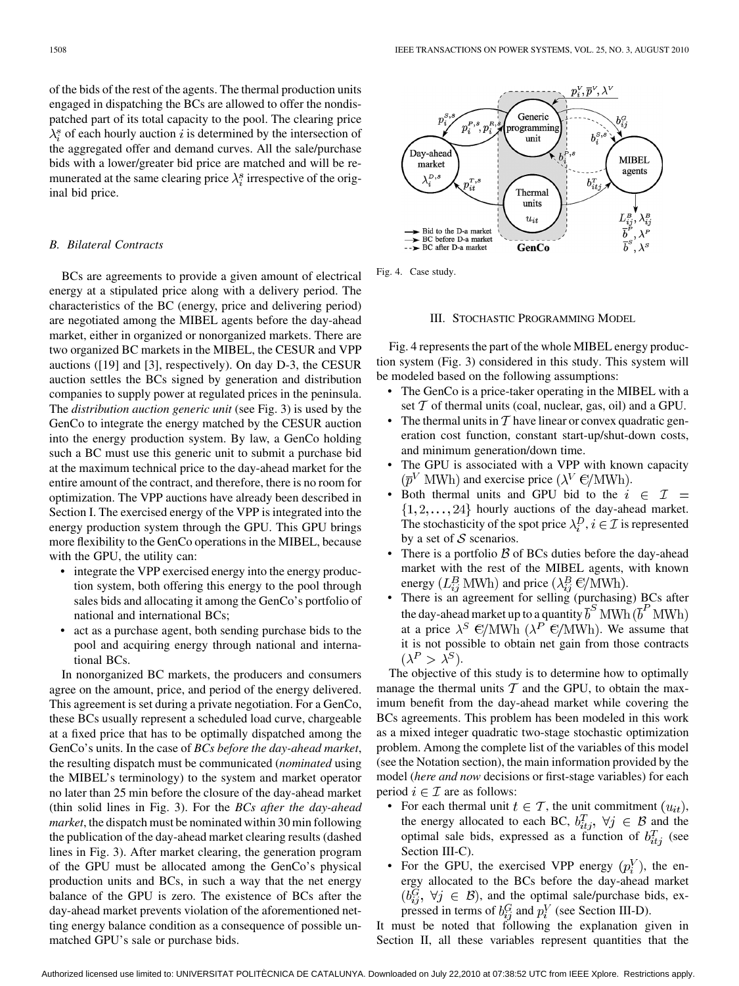of the bids of the rest of the agents. The thermal production units engaged in dispatching the BCs are allowed to offer the nondispatched part of its total capacity to the pool. The clearing price  $\lambda_i^s$  of each hourly auction i is determined by the intersection of the aggregated offer and demand curves. All the sale/purchase bids with a lower/greater bid price are matched and will be remunerated at the same clearing price  $\lambda_i^s$  irrespective of the original bid price.

#### *B. Bilateral Contracts*

BCs are agreements to provide a given amount of electrical energy at a stipulated price along with a delivery period. The characteristics of the BC (energy, price and delivering period) are negotiated among the MIBEL agents before the day-ahead market, either in organized or nonorganized markets. There are two organized BC markets in the MIBEL, the CESUR and VPP auctions ([19] and [3], respectively). On day D-3, the CESUR auction settles the BCs signed by generation and distribution companies to supply power at regulated prices in the peninsula. The *distribution auction generic unit* (see Fig. 3) is used by the GenCo to integrate the energy matched by the CESUR auction into the energy production system. By law, a GenCo holding such a BC must use this generic unit to submit a purchase bid at the maximum technical price to the day-ahead market for the entire amount of the contract, and therefore, there is no room for optimization. The VPP auctions have already been described in Section I. The exercised energy of the VPP is integrated into the energy production system through the GPU. This GPU brings more flexibility to the GenCo operations in the MIBEL, because with the GPU, the utility can:

- integrate the VPP exercised energy into the energy production system, both offering this energy to the pool through sales bids and allocating it among the GenCo's portfolio of national and international BCs;
- act as a purchase agent, both sending purchase bids to the pool and acquiring energy through national and international BCs.

In nonorganized BC markets, the producers and consumers agree on the amount, price, and period of the energy delivered. This agreement is set during a private negotiation. For a GenCo, these BCs usually represent a scheduled load curve, chargeable at a fixed price that has to be optimally dispatched among the GenCo's units. In the case of *BCs before the day-ahead market*, the resulting dispatch must be communicated (*nominated* using the MIBEL's terminology) to the system and market operator no later than 25 min before the closure of the day-ahead market (thin solid lines in Fig. 3). For the *BCs after the day-ahead market*, the dispatch must be nominated within 30 min following the publication of the day-ahead market clearing results (dashed lines in Fig. 3). After market clearing, the generation program of the GPU must be allocated among the GenCo's physical production units and BCs, in such a way that the net energy balance of the GPU is zero. The existence of BCs after the day-ahead market prevents violation of the aforementioned netting energy balance condition as a consequence of possible unmatched GPU's sale or purchase bids.



Fig. 4. Case study.

#### III. STOCHASTIC PROGRAMMING MODEL

Fig. 4 represents the part of the whole MIBEL energy production system (Fig. 3) considered in this study. This system will be modeled based on the following assumptions:

- The GenCo is a price-taker operating in the MIBEL with a set  $\mathcal T$  of thermal units (coal, nuclear, gas, oil) and a GPU.
- The thermal units in  $T$  have linear or convex quadratic generation cost function, constant start-up/shut-down costs, and minimum generation/down time.
- The GPU is associated with a VPP with known capacity  $(\overline{p}^V \text{MWh})$  and exercise price  $(\lambda^V \in \text{MWh})$ .
- Both thermal units and GPU bid to the  $i \in \mathcal{I}$  =  $\{1, 2, \ldots, 24\}$  hourly auctions of the day-ahead market. The stochasticity of the spot price  $\lambda_i^D$ ,  $i \in \mathcal{I}$  is represented by a set of  $S$  scenarios.
- There is a portfolio  $\beta$  of BCs duties before the day-ahead market with the rest of the MIBEL agents, with known energy  $(L_{ij}^B$  MWh) and price  $(\lambda_{ij}^B \in /$ MWh).
- There is an agreement for selling (purchasing) BCs after the day-ahead market up to a quantity  $\overline{b}^S$  MWh  $(\overline{b}^P \text{ MWh})$ at a price  $\lambda^S$  E/MWh ( $\lambda^P$  E/MWh). We assume that it is not possible to obtain net gain from those contracts  $(\lambda^P > \lambda^S).$

The objective of this study is to determine how to optimally manage the thermal units  $T$  and the GPU, to obtain the maximum benefit from the day-ahead market while covering the BCs agreements. This problem has been modeled in this work as a mixed integer quadratic two-stage stochastic optimization problem. Among the complete list of the variables of this model (see the Notation section), the main information provided by the model (*here and now* decisions or first-stage variables) for each period  $i \in \mathcal{I}$  are as follows:

- For each thermal unit  $t \in \mathcal{T}$ , the unit commitment  $(u_{it})$ , the energy allocated to each BC,  $b_{itj}^T$ ,  $\forall j \in \mathcal{B}$  and the optimal sale bids, expressed as a function of  $b_{itj}^T$  (see Section III-C).
- For the GPU, the exercised VPP energy  $(p_i^V)$ , the energy allocated to the BCs before the day-ahead market  $(b_{ij}^G, \forall j \in \mathcal{B})$ , and the optimal sale/purchase bids, expressed in terms of  $b_{ij}^G$  and  $p_i^V$  (see Section III-D).

It must be noted that following the explanation given in Section II, all these variables represent quantities that the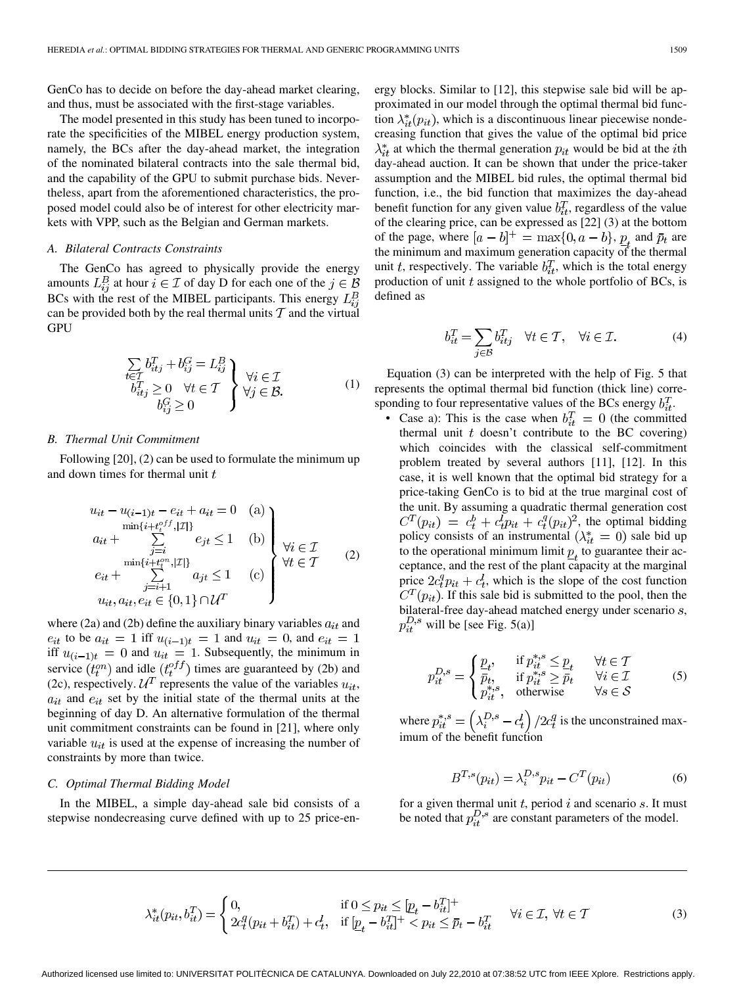GenCo has to decide on before the day-ahead market clearing, and thus, must be associated with the first-stage variables.

The model presented in this study has been tuned to incorporate the specificities of the MIBEL energy production system, namely, the BCs after the day-ahead market, the integration of the nominated bilateral contracts into the sale thermal bid, and the capability of the GPU to submit purchase bids. Nevertheless, apart from the aforementioned characteristics, the proposed model could also be of interest for other electricity markets with VPP, such as the Belgian and German markets.

### *A. Bilateral Contracts Constraints*

The GenCo has agreed to physically provide the energy amounts  $L_{ij}^B$  at hour  $i \in \mathcal{I}$  of day D for each one of the  $j \in \mathcal{B}$ BCs with the rest of the MIBEL participants. This energy  $L_{ii}^B$ can be provided both by the real thermal units  $\mathcal T$  and the virtual GPU

$$
\sum_{\substack{t \in \mathcal{T} \\ b_{itj}^T \ge 0}} b_{itj}^T + b_{ij}^G = L_{ij}^B
$$
\n
$$
\forall i \in \mathcal{I} \\ b_{itj}^T \ge 0 \quad \forall t \in \mathcal{T} \qquad \forall j \in \mathcal{B}. \tag{1}
$$

#### *B. Thermal Unit Commitment*

Following [20], (2) can be used to formulate the minimum up and down times for thermal unit  $t$ 

$$
u_{it} - u_{(i-1)t} - e_{it} + a_{it} = 0
$$
 (a)  
\n
$$
\min\{i + t_i^{off}, |\mathcal{I}|\}
$$
  
\n
$$
a_{it} + \sum_{j=i}^{\min\{i + t_i^{off}, |\mathcal{I}|\}} e_{jt} \le 1
$$
 (b)  
\n
$$
e_{it} + \sum_{j=i+1}^{\min\{i + t_i^{on}, |\mathcal{I}|\}} a_{jt} \le 1
$$
 (c)  
\n
$$
u_{it}, a_{it}, e_{it} \in \{0, 1\} \cap \mathcal{U}^T
$$
 (2)

where (2a) and (2b) define the auxiliary binary variables  $a_{it}$  and  $e_{it}$  to be  $a_{it} = 1$  iff  $u_{(i-1)t} = 1$  and  $u_{it} = 0$ , and  $e_{it} = 1$ iff  $u_{(i-1)t} = 0$  and  $u_{it} = 1$ . Subsequently, the minimum in service  $(t_t^{on})$  and idle  $(t_t^{off})$  times are guaranteed by (2b) and (2c), respectively.  $U^T$  represents the value of the variables  $u_{it}$ ,  $a_{it}$  and  $e_{it}$  set by the initial state of the thermal units at the beginning of day D. An alternative formulation of the thermal unit commitment constraints can be found in [21], where only variable  $u_{it}$  is used at the expense of increasing the number of constraints by more than twice.

## *C. Optimal Thermal Bidding Model*

In the MIBEL, a simple day-ahead sale bid consists of a stepwise nondecreasing curve defined with up to 25 price-energy blocks. Similar to [12], this stepwise sale bid will be approximated in our model through the optimal thermal bid function  $\lambda_{it}^*(p_{it})$ , which is a discontinuous linear piecewise nondecreasing function that gives the value of the optimal bid price  $\lambda_{it}^*$  at which the thermal generation  $p_{it}$  would be bid at the *i*th day-ahead auction. It can be shown that under the price-taker assumption and the MIBEL bid rules, the optimal thermal bid function, i.e., the bid function that maximizes the day-ahead benefit function for any given value  $b_{it}^T$ , regardless of the value of the clearing price, can be expressed as  $\left[22\right]$  (3) at the bottom of the page, where  $[a - b]^+ = \max\{0, a - b\}$ ,  $p_t$  and  $\bar{p}_t$  are the minimum and maximum generation capacity  $\vec{of}$  the thermal unit t, respectively. The variable  $b_{it}^T$ , which is the total energy production of unit  $t$  assigned to the whole portfolio of BCs, is defined as

$$
b_{it}^T = \sum_{j \in \mathcal{B}} b_{itj}^T \quad \forall t \in \mathcal{T}, \quad \forall i \in \mathcal{I}.
$$
 (4)

Equation (3) can be interpreted with the help of Fig. 5 that represents the optimal thermal bid function (thick line) corresponding to four representative values of the BCs energy  $b_{it}^T$ .

• Case a): This is the case when  $b_{it}^T = 0$  (the committed thermal unit  $t$  doesn't contribute to the BC covering) which coincides with the classical self-commitment problem treated by several authors [11], [12]. In this case, it is well known that the optimal bid strategy for a price-taking GenCo is to bid at the true marginal cost of the unit. By assuming a quadratic thermal generation cost  $C^{T}(p_{it}) = c_t^b + c_t^j p_{it} + c_t^q (p_{it})^2$ , the optimal bidding policy consists of an instrumental  $(\lambda_{it}^* = 0)$  sale bid up to the operational minimum limit  $p_t$  to guarantee their acceptance, and the rest of the plant capacity at the marginal price  $2c_t^q p_{it} + c_t^l$ , which is the slope of the cost function  $C^{T}(p_{it})$ . If this sale bid is submitted to the pool, then the bilateral-free day-ahead matched energy under scenario  $s$ ,  $p_{it}^{D,s}$  will be [see Fig. 5(a)]

$$
p_{it}^{D,s} = \begin{cases} \underline{p}_t, & \text{if } p_{it}^{*,s} \le \underline{p}_t & \forall t \in \mathcal{T} \\ \overline{p}_t, & \text{if } p_{it}^{*,s} \ge \overline{p}_t & \forall i \in \mathcal{I} \\ p_{it}^{*,s}, & \text{otherwise} & \forall s \in \mathcal{S} \end{cases} \tag{5}
$$

where  $p_{it}^{*,s} = \left(\lambda_i^{D,s} - c_t^I\right)/2c_t^q$  is the unconstrained maximum of the benefit function

$$
B^{T,s}(p_{it}) = \lambda_i^{D,s} p_{it} - C^T(p_{it})
$$
\n(6)

for a given thermal unit  $t$ , period  $i$  and scenario  $s$ . It must be noted that  $p_{it}^{D,s}$  are constant parameters of the model.

$$
\lambda_{it}^*(p_{it}, b_{it}^T) = \begin{cases} 0, & \text{if } 0 \le p_{it} \le [p_t - b_{it}^T]^+ \\ 2c_t^q(p_{it} + b_{it}^T) + c_t^I, & \text{if } [p_t - b_{it}^T]^+ < p_{it} \le \bar{p}_t - b_{it}^T \end{cases} \forall i \in \mathcal{I}, \forall t \in \mathcal{T}
$$
 (3)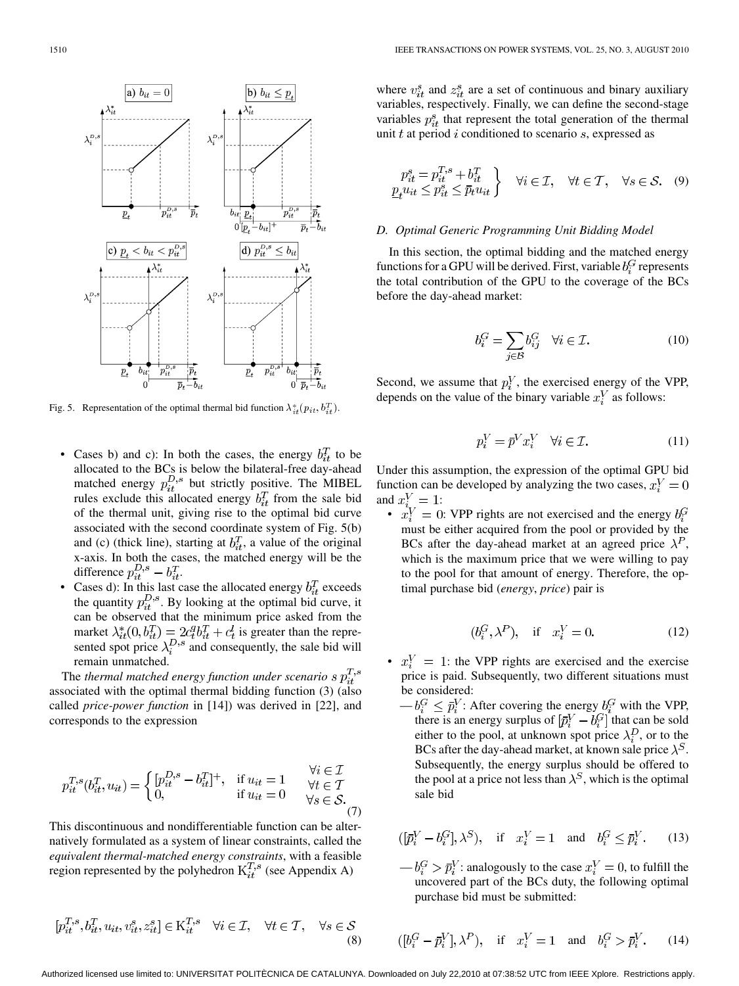

Fig. 5. Representation of the optimal thermal bid function  $\lambda_{it}^*(p_{it}, b_{it}^T)$ .

- Cases b) and c): In both the cases, the energy  $b_{it}^T$  to be allocated to the BCs is below the bilateral-free day-ahead matched energy  $p_{it}^{L,s}$  but strictly positive. The MIBEL rules exclude this allocated energy  $b_{it}^T$  from the sale bid of the thermal unit, giving rise to the optimal bid curve associated with the second coordinate system of Fig. 5(b) and (c) (thick line), starting at  $b_{it}^T$ , a value of the original x-axis. In both the cases, the matched energy will be the difference  $p_{it}^{D,s} - b_{it}^T$ .
- Cases d): In this last case the allocated energy  $b_{it}^T$  exceeds the quantity  $p_{it}^{D,s}$ . By looking at the optimal bid curve, it can be observed that the minimum price asked from the market  $\lambda_{it}^*(0, b_{it}^T) = 2c_t^q b_{it}^T + c_t^l$  is greater than the represented spot price  $\lambda_i^{D,s}$  and consequently, the sale bid will remain unmatched.

The *thermal matched energy function under scenario*  $s p_{it}^{T,s}$ associated with the optimal thermal bidding function (3) (also called *price-power function* in [14]) was derived in [22], and corresponds to the expression

$$
p_{it}^{T,s}(b_{it}^T, u_{it}) = \begin{cases} [p_{it}^{D,s} - b_{it}^T]^+, & \text{if } u_{it} = 1 & \forall t \in \mathcal{I} \\ 0, & \text{if } u_{it} = 0 & \forall s \in \mathcal{S}. \end{cases}
$$
(7)

This discontinuous and nondifferentiable function can be alternatively formulated as a system of linear constraints, called the *equivalent thermal-matched energy constraints*, with a feasible region represented by the polyhedron  $K_{it}^{T,s}$  (see Appendix A)

$$
[p_{it}^{T,s}, b_{it}^T, u_{it}, v_{it}^s, z_{it}^s] \in \mathcal{K}_{it}^{T,s} \quad \forall i \in \mathcal{I}, \quad \forall t \in \mathcal{T}, \quad \forall s \in \mathcal{S}
$$
\n(8)

where  $v_{it}^s$  and  $z_{it}^s$  are a set of continuous and binary auxiliary variables, respectively. Finally, we can define the second-stage variables  $p_{it}^s$  that represent the total generation of the thermal unit  $t$  at period  $i$  conditioned to scenario  $s$ , expressed as

$$
\begin{aligned}\np_{it}^s &= p_{it}^{T,s} + b_{it}^T \\
\underbrace{p_t u_{it}} \leq p_{it}^s \leq \overline{p_t u_{it}}\n\end{aligned}\n\bigg\}\n\quad \forall i \in \mathcal{I}, \quad \forall t \in \mathcal{T}, \quad \forall s \in \mathcal{S}. \tag{9}
$$

## *D. Optimal Generic Programming Unit Bidding Model*

In this section, the optimal bidding and the matched energy functions for a GPU will be derived. First, variable  $b_i^G$  represents the total contribution of the GPU to the coverage of the BCs before the day-ahead market:

$$
b_i^G = \sum_{j \in \mathcal{B}} b_{ij}^G \quad \forall i \in \mathcal{I}.\tag{10}
$$

Second, we assume that  $p_i^V$ , the exercised energy of the VPP, depends on the value of the binary variable  $x_i^V$  as follows:

$$
p_i^V = \bar{p}^V x_i^V \quad \forall i \in \mathcal{I}.
$$
 (11)

Under this assumption, the expression of the optimal GPU bid function can be developed by analyzing the two cases,  $x_i^V = 0$ and  $x_i^V = 1$ :

•  $x_i^V = 0$ : VPP rights are not exercised and the energy  $b_i^G$ must be either acquired from the pool or provided by the BCs after the day-ahead market at an agreed price  $\lambda^P$ , which is the maximum price that we were willing to pay to the pool for that amount of energy. Therefore, the optimal purchase bid (*energy*, *price*) pair is

$$
(b_i^G, \lambda^P), \quad \text{if} \quad x_i^V = 0. \tag{12}
$$

•  $x_i^V = 1$ : the VPP rights are exercised and the exercise price is paid. Subsequently, two different situations must be considered:

 $-b_i^G \leq \bar{p}_i^V$ : After covering the energy  $b_i^G$  with the VPP, there is an energy surplus of  $[\bar{p}_i^V - b_i^G]$  that can be sold either to the pool, at unknown spot price  $\lambda_i^D$ , or to the BCs after the day-ahead market, at known sale price  $\lambda^{S}$ . Subsequently, the energy surplus should be offered to the pool at a price not less than  $\lambda^S$ , which is the optimal sale bid

$$
([\bar{p}_i^V - b_i^G], \lambda^S), \quad \text{if} \quad x_i^V = 1 \quad \text{and} \quad b_i^G \le \bar{p}_i^V. \tag{13}
$$

 $-b_i^G > \bar{p}_i^V$ : analogously to the case  $x_i^V = 0$ , to fulfill the uncovered part of the BCs duty, the following optimal purchase bid must be submitted:

$$
([b_i^G - \bar{p}_i^V], \lambda^P), \quad \text{if} \quad x_i^V = 1 \quad \text{and} \quad b_i^G > \bar{p}_i^V. \tag{14}
$$

Authorized licensed use limited to: UNIVERSITAT POLITÈCNICA DE CATALUNYA. Downloaded on July 22,2010 at 07:38:52 UTC from IEEE Xplore. Restrictions apply.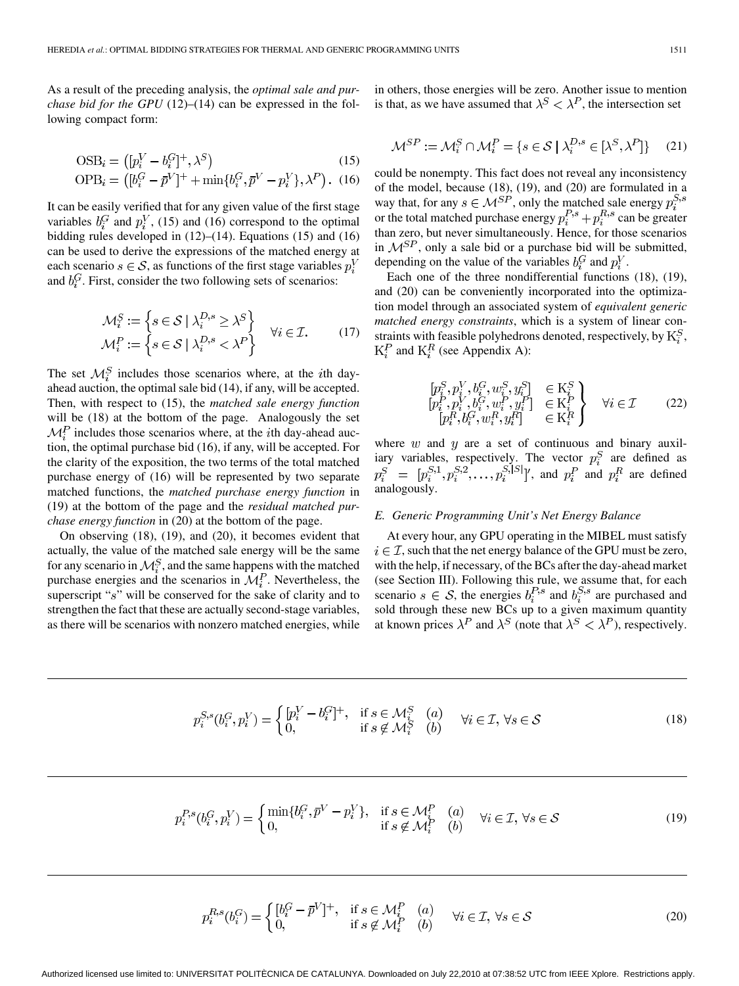As a result of the preceding analysis, the *optimal sale and purchase bid for the GPU* (12)–(14) can be expressed in the following compact form:

$$
OSBi = ( [piV - biG ]+, \lambdaS )
$$
  
OPB<sub>i</sub> = ( [b<sub>i</sub><sup>G</sup> -  $\bar{p}V ]+ + min{biG, \bar{p}V - piV}, \lambdaP ) . (16)$ 

It can be easily verified that for any given value of the first stage variables  $b_i^G$  and  $p_i^V$ , (15) and (16) correspond to the optimal bidding rules developed in  $(12)$ – $(14)$ . Equations  $(15)$  and  $(16)$ can be used to derive the expressions of the matched energy at each scenario  $s \in S$ , as functions of the first stage variables  $p_i^V$ and  $b_i^G$ . First, consider the two following sets of scenarios:

$$
\mathcal{M}_i^S := \left\{ s \in \mathcal{S} \mid \lambda_i^{D,s} \ge \lambda^S \right\} \quad \forall i \in \mathcal{I}.
$$
\n
$$
\mathcal{M}_i^P := \left\{ s \in \mathcal{S} \mid \lambda_i^{D,s} < \lambda^P \right\} \quad \forall i \in \mathcal{I}.
$$
\n
$$
(17)
$$

The set  $\mathcal{M}_{i}^{S}$  includes those scenarios where, at the *i*th dayahead auction, the optimal sale bid (14), if any, will be accepted. Then, with respect to (15), the *matched sale energy function* will be (18) at the bottom of the page. Analogously the set  $\mathcal{M}_i^P$  includes those scenarios where, at the *i*th day-ahead auction, the optimal purchase bid (16), if any, will be accepted. For the clarity of the exposition, the two terms of the total matched purchase energy of (16) will be represented by two separate matched functions, the *matched purchase energy function* in (19) at the bottom of the page and the *residual matched purchase energy function* in (20) at the bottom of the page.

On observing (18), (19), and (20), it becomes evident that actually, the value of the matched sale energy will be the same for any scenario in  $\mathcal{M}_i^S$ , and the same happens with the matched purchase energies and the scenarios in  $\mathcal{M}_i^P$ . Nevertheless, the superscript "s" will be conserved for the sake of clarity and to strengthen the fact that these are actually second-stage variables, as there will be scenarios with nonzero matched energies, while

in others, those energies will be zero. Another issue to mention is that, as we have assumed that  $\lambda^S < \lambda^P$ , the intersection set

$$
\mathcal{M}^{SP} := \mathcal{M}_i^S \cap \mathcal{M}_i^P = \{ s \in S \mid \lambda_i^{D,s} \in [\lambda^S, \lambda^P] \} \tag{21}
$$

could be nonempty. This fact does not reveal any inconsistency of the model, because (18), (19), and (20) are formulated in a way that, for any  $s \in \mathcal{M}^{SP}$ , only the matched sale energy  $p_i^{S,s}$ or the total matched purchase energy  $p_i^{P,s} + p_i^{R,s}$  can be greater than zero, but never simultaneously. Hence, for those scenarios in  $\mathcal{M}^{SP}$ , only a sale bid or a purchase bid will be submitted, depending on the value of the variables  $b_i^G$  and  $p_i^V$ .

Each one of the three nondifferential functions (18), (19), and (20) can be conveniently incorporated into the optimization model through an associated system of *equivalent generic matched energy constraints*, which is a system of linear constraints with feasible polyhedrons denoted, respectively, by  $K_i^S$ ,  $K_i^P$  and  $K_i^R$  (see Appendix A):

$$
\begin{array}{ll}\n[p_i^S, p_i^V, b_i^G, w_i^S, y_i^S] & \in \mathcal{K}_i^S \\
[p_i^P, p_i^V, b_i^G, w_i^P, y_i^P] & \in \mathcal{K}_i^P \\
[p_i^R, b_i^G, w_i^R, y_i^R] & \in \mathcal{K}_i^R\n\end{array}\n\bigg\} \quad \forall i \in \mathcal{I}
$$
\n(22)

where  $w$  and  $y$  are a set of continuous and binary auxiliary variables, respectively. The vector  $p_i^S$  are defined as , and  $p_i^P$  and  $p_i^R$  are defined analogously.

# *E. Generic Programming Unit's Net Energy Balance*

At every hour, any GPU operating in the MIBEL must satisfy  $i \in \mathcal{I}$ , such that the net energy balance of the GPU must be zero, with the help, if necessary, of the BCs after the day-ahead market (see Section III). Following this rule, we assume that, for each scenario  $s \in S$ , the energies  $b_i^{P,s}$  and  $b_i^{S,s}$  are purchased and sold through these new BCs up to a given maximum quantity at known prices  $\lambda^P$  and  $\lambda^S$  (note that  $\lambda^S < \lambda^P$ ), respectively.

$$
p_i^{S,s}(b_i^G, p_i^V) = \begin{cases} [p_i^V - b_i^G]^+, & \text{if } s \in \mathcal{M}_i^S \ (a) \\ 0, & \text{if } s \notin \mathcal{M}_i^S \ (b) \end{cases} \quad \forall i \in \mathcal{I}, \forall s \in \mathcal{S}
$$
 (18)

$$
p_i^{P,s}(b_i^G, p_i^V) = \begin{cases} \min\{b_i^G, \bar{p}^V - p_i^V\}, & \text{if } s \in \mathcal{M}_i^P & (a) \\ 0, & \text{if } s \notin \mathcal{M}_i^P & (b) \end{cases} \quad \forall i \in \mathcal{I}, \forall s \in \mathcal{S}
$$
 (19)

$$
p_i^{R,s}(b_i^G) = \begin{cases} [b_i^G - \bar{p}^V]^+, & \text{if } s \in \mathcal{M}_i^P\\ 0, & \text{if } s \notin \mathcal{M}_i^P \end{cases} \quad (a) \qquad \forall i \in \mathcal{I}, \forall s \in \mathcal{S} \tag{20}
$$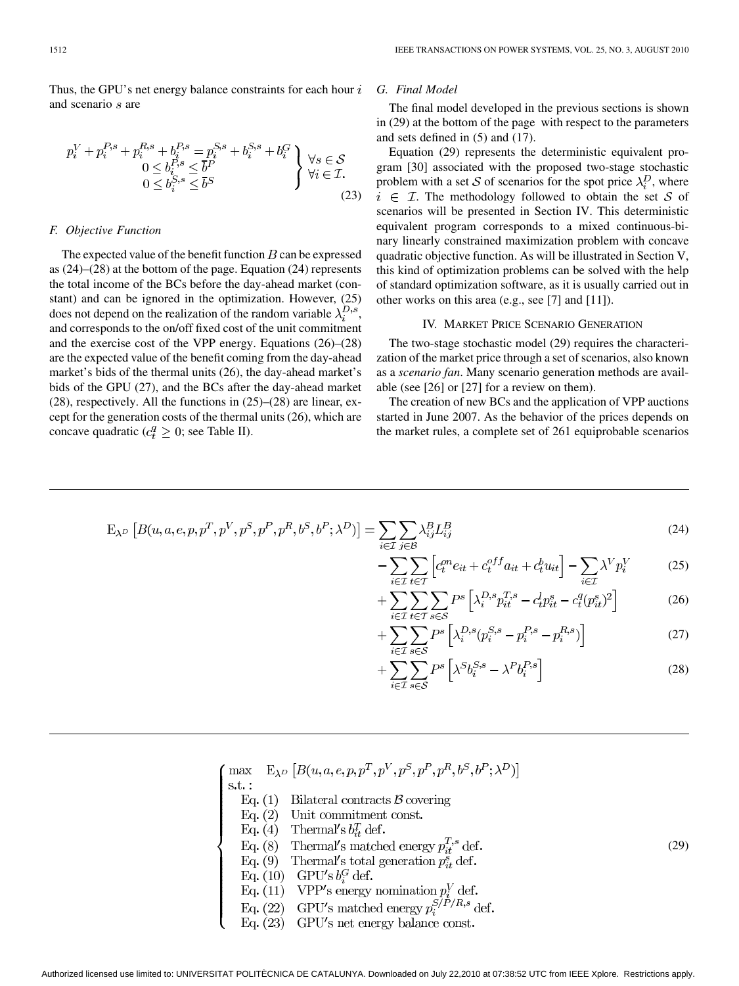Thus, the GPU's net energy balance constraints for each hour  $i$ and scenario s are

$$
p_i^V + p_i^{P,s} + p_i^{R,s} + b_i^{P,s} = p_i^{S,s} + b_i^{S,s} + b_i^G
$$
  
\n
$$
0 \le b_i^{P,s} \le \overline{b}^P
$$
  
\n
$$
0 \le b_i^{S,s} \le \overline{b}^S
$$
  
\n
$$
(23)
$$

# *F. Objective Function*

The expected value of the benefit function  $B$  can be expressed as (24)–(28) at the bottom of the page. Equation (24) represents the total income of the BCs before the day-ahead market (constant) and can be ignored in the optimization. However, (25) does not depend on the realization of the random variable  $\lambda_i^{D,s}$ , and corresponds to the on/off fixed cost of the unit commitment and the exercise cost of the VPP energy. Equations (26)–(28) are the expected value of the benefit coming from the day-ahead market's bids of the thermal units (26), the day-ahead market's bids of the GPU (27), and the BCs after the day-ahead market (28), respectively. All the functions in (25)–(28) are linear, except for the generation costs of the thermal units (26), which are concave quadratic ( $c_t^q \geq 0$ ; see Table II).

# *G. Final Model*

The final model developed in the previous sections is shown in (29) at the bottom of the page with respect to the parameters and sets defined in (5) and (17).

Equation (29) represents the deterministic equivalent program [30] associated with the proposed two-stage stochastic problem with a set S of scenarios for the spot price  $\lambda_i^D$ , where  $i \in \mathcal{I}$ . The methodology followed to obtain the set S of scenarios will be presented in Section IV. This deterministic equivalent program corresponds to a mixed continuous-binary linearly constrained maximization problem with concave quadratic objective function. As will be illustrated in Section V, this kind of optimization problems can be solved with the help of standard optimization software, as it is usually carried out in other works on this area (e.g., see [7] and [11]).

#### IV. MARKET PRICE SCENARIO GENERATION

The two-stage stochastic model (29) requires the characterization of the market price through a set of scenarios, also known as a *scenario fan*. Many scenario generation methods are available (see [26] or [27] for a review on them).

The creation of new BCs and the application of VPP auctions started in June 2007. As the behavior of the prices depends on the market rules, a complete set of 261 equiprobable scenarios

$$
\mathcal{E}_{\lambda^D} \left[ B(u, a, e, p, p^T, p^V, p^S, p^P, p^R, b^S, b^P; \lambda^D) \right] = \sum_{i \in \mathcal{I}} \sum_{j \in \mathcal{B}} \lambda_{ij}^B L_{ij}^B
$$
\n(24)

$$
-\sum_{i\in\mathcal{I}}\sum_{t\in\mathcal{T}}\left[c_t^{on}e_{it} + c_t^{off}a_{it} + c_t^bu_{it}\right] - \sum_{i\in\mathcal{I}}\lambda^V p_i^V\tag{25}
$$

$$
+\sum_{i\in\mathcal{T}}\sum_{t\in\mathcal{T}}\sum_{s\in\mathcal{S}}P^{s}\left[\lambda_{i}^{D,s}p_{it}^{T,s}-c_{t}^{D}p_{it}^{s}-c_{t}^{q}(p_{it}^{s})^{2}\right]
$$
(26)

$$
+\sum_{i\in\mathcal{I}}\sum_{s\in\mathcal{S}}P^s\left[\lambda_i^{D,s}(p_i^{S,s}-p_i^{P,s}-p_i^{R,s})\right]
$$
\n<sup>(27)</sup>

$$
+\sum_{i\in\mathcal{I}}\sum_{s\in\mathcal{S}}P^s\left[\lambda^S b_i^{S,s} - \lambda^P b_i^{P,s}\right]
$$
\n(28)

(29)

max  $E_{\lambda^D} [B(u, a, e, p, p^T, p^V, p^S, p^P, p^R, b^S, b^P; \lambda^D)]$  $s.t.$ : Eq. (1) Bilateral contracts  $\beta$  covering Eq. (1) Bilateral contracts B covering<br>
Eq. (2) Unit commitment const.<br>
Eq. (4) Thermal's  $b_{it}^T$  def.<br>
Eq. (8) Thermal's matched energy  $p_{it}^{T,s}$  def.<br>
Eq. (9) Thermal's total generation  $p_{it}^s$  def.<br>
Eq. (10) GPU's

- 
- 
- 
- Eq.  $(23)$ GPU's net energy balance const.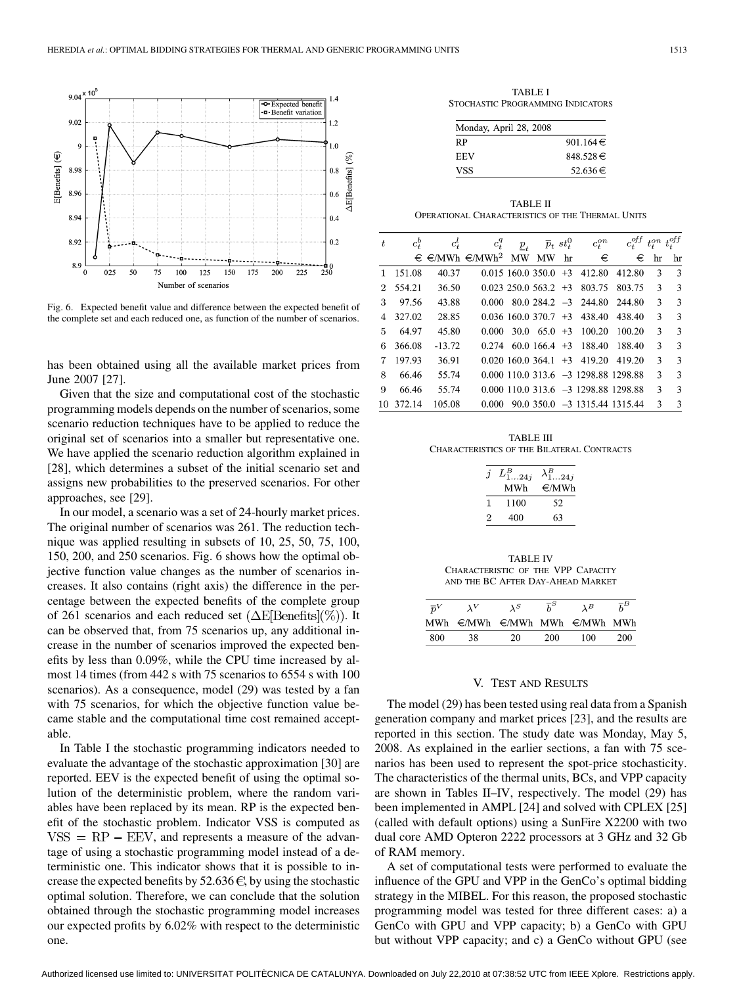

Fig. 6. Expected benefit value and difference between the expected benefit of the complete set and each reduced one, as function of the number of scenarios.

has been obtained using all the available market prices from June 2007 [27].

Given that the size and computational cost of the stochastic programming models depends on the number of scenarios, some scenario reduction techniques have to be applied to reduce the original set of scenarios into a smaller but representative one. We have applied the scenario reduction algorithm explained in [28], which determines a subset of the initial scenario set and assigns new probabilities to the preserved scenarios. For other approaches, see [29].

In our model, a scenario was a set of 24-hourly market prices. The original number of scenarios was 261. The reduction technique was applied resulting in subsets of 10, 25, 50, 75, 100, 150, 200, and 250 scenarios. Fig. 6 shows how the optimal objective function value changes as the number of scenarios increases. It also contains (right axis) the difference in the percentage between the expected benefits of the complete group of 261 scenarios and each reduced set  $(\Delta E[\text{Benefits}](\%))$ . It can be observed that, from 75 scenarios up, any additional increase in the number of scenarios improved the expected benefits by less than 0.09%, while the CPU time increased by almost 14 times (from 442 s with 75 scenarios to 6554 s with 100 scenarios). As a consequence, model (29) was tested by a fan with 75 scenarios, for which the objective function value became stable and the computational time cost remained acceptable.

In Table I the stochastic programming indicators needed to evaluate the advantage of the stochastic approximation [30] are reported. EEV is the expected benefit of using the optimal solution of the deterministic problem, where the random variables have been replaced by its mean. RP is the expected benefit of the stochastic problem. Indicator VSS is computed as  $VSS = RP - EEV$ , and represents a measure of the advantage of using a stochastic programming model instead of a deterministic one. This indicator shows that it is possible to increase the expected benefits by 52.636  $\epsilon$ , by using the stochastic optimal solution. Therefore, we can conclude that the solution obtained through the stochastic programming model increases our expected profits by 6.02% with respect to the deterministic one.

TABLE I STOCHASTIC PROGRAMMING INDICATORS

| Monday, April 28, 2008 |               |
|------------------------|---------------|
| RP                     | 901.164 $\in$ |
| EEV                    | $848.528 \in$ |
| VSS                    | 52.636 €      |

TABLE II OPERATIONAL CHARACTERISTICS OF THE THERMAL UNITS

| $t_{-}$      | $c_t^b$   | $c_t^l$        | $c_t^q$                                     |  | $\underline{p}_t$ $\overline{p}_t$ $st_t^0$ $c_t^{on}$              | $c_t^{off}$ ton |              |              |
|--------------|-----------|----------------|---------------------------------------------|--|---------------------------------------------------------------------|-----------------|--------------|--------------|
|              | €         |                | $\in$ /MWh $\in$ /MWh <sup>2</sup> MW MW hr |  | $\epsilon$                                                          | €               | hr           | hr           |
| $\mathbf{1}$ | 151.08    | 40.37          |                                             |  | $0.015$ 160.0 350.0 $+3$ 412.80 412.80                              |                 | 3            | 3            |
|              |           | 2 554.21 36.50 |                                             |  | $0.023$ 250.0 563.2 +3 803.75 803.75                                |                 | $\mathbf{3}$ | 3            |
| 3            | 97.56     | 43.88          |                                             |  | $0.000$ 80.0 284.2 -3 244.80 244.80                                 |                 | $\mathbf{3}$ | 3            |
| 4            | 327.02    | 28.85          |                                             |  | $0.036$ 160.0 370.7 +3 438.40 438.40                                |                 | 3            | 3            |
| 5.           | 64.97     | 45.80          |                                             |  | $0.000$ 30.0 65.0 +3 100.20 100.20                                  |                 | $\mathbf{3}$ | 3            |
| 6            | 366.08    | $-13.72$       |                                             |  | $0.274$ 60.0 166.4 +3 188.40 188.40                                 |                 | $\mathbf{3}$ | 3            |
| 7.           | 197.93    | 36.91          |                                             |  | $0.020$ 160.0 364.1 +3 419.20 419.20                                |                 | $\mathbf{3}$ | $\mathbf{3}$ |
| 8            | 66.46     | 55.74          |                                             |  | $0.000110.0313.6 -31298.881298.88$                                  |                 | 3            | 3            |
| 9            | 66.46     | 55.74          |                                             |  | $0.000$ 110.0 313.6 -3 1298.88 1298.88                              |                 | 3            | 3            |
|              | 10 372.14 | 105.08         |                                             |  | $0.000 \quad 90.0 \quad 350.0 \quad -3 \quad 1315.44 \quad 1315.44$ |                 | 3            | 3            |

TABLE III CHARACTERISTICS OF THE BILATERAL CONTRACTS

| $\boldsymbol{\eta}$ | $L^B_{1\ldots 24j}$<br>MWh | $\lambda^B_{124j}$<br>€/MWh |
|---------------------|----------------------------|-----------------------------|
| 1                   | 1100                       | 52                          |
| 2                   | 400                        | 63                          |

TABLE IV CHARACTERISTIC OF THE VPP CAPACITY AND THE BC AFTER DAY-AHEAD MARKET

| $\overline{p}^V$ | $\lambda^S$<br>$\lambda^V$    |    | $\bar{h}^S$ | $\lambda^B$ | $\overline{B}$ |
|------------------|-------------------------------|----|-------------|-------------|----------------|
|                  | MWh €/MWh €/MWh MWh €/MWh MWh |    |             |             |                |
| 800              | 38                            | 20 | 200         | 100         | 200            |

## V. TEST AND RESULTS

The model (29) has been tested using real data from a Spanish generation company and market prices [23], and the results are reported in this section. The study date was Monday, May 5, 2008. As explained in the earlier sections, a fan with 75 scenarios has been used to represent the spot-price stochasticity. The characteristics of the thermal units, BCs, and VPP capacity are shown in Tables II–IV, respectively. The model (29) has been implemented in AMPL [24] and solved with CPLEX [25] (called with default options) using a SunFire X2200 with two dual core AMD Opteron 2222 processors at 3 GHz and 32 Gb of RAM memory.

A set of computational tests were performed to evaluate the influence of the GPU and VPP in the GenCo's optimal bidding strategy in the MIBEL. For this reason, the proposed stochastic programming model was tested for three different cases: a) a GenCo with GPU and VPP capacity; b) a GenCo with GPU but without VPP capacity; and c) a GenCo without GPU (see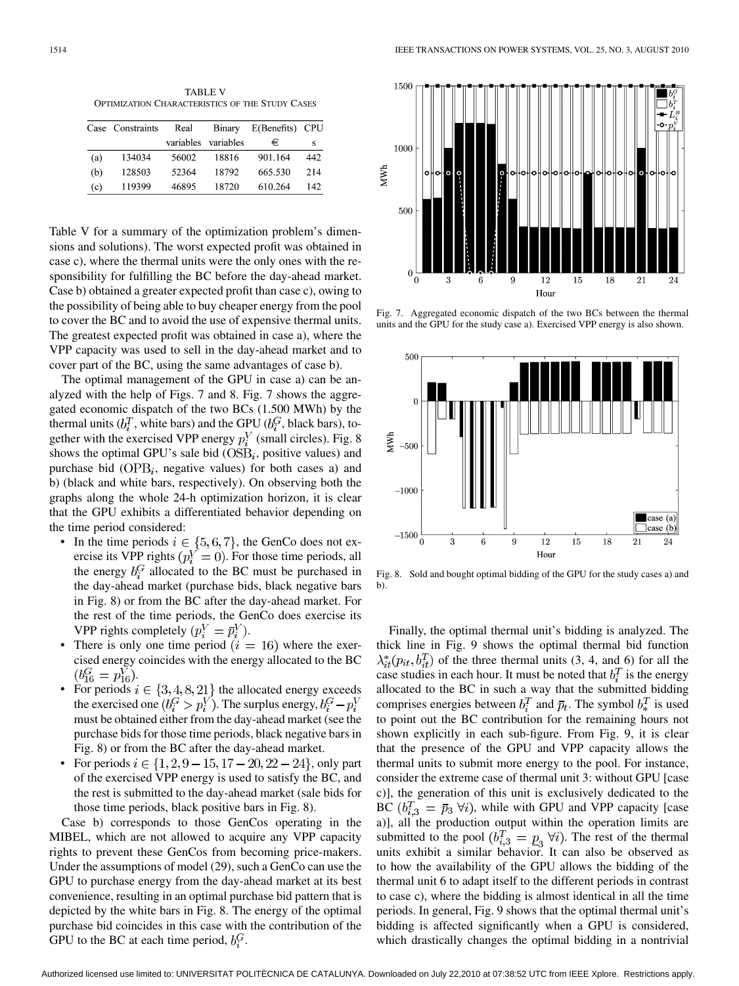TABLE V OPTIMIZATION CHARACTERISTICS OF THE STUDY CASES

|     | Case Constraints | Real      | Binary    | E(Benefits) CPU |     |
|-----|------------------|-----------|-----------|-----------------|-----|
|     |                  | variables | variables | €               | s   |
| (a) | 134034           | 56002     | 18816     | 901.164         | 442 |
| (b) | 128503           | 52364     | 18792     | 665.530         | 214 |
| (c) | 119399           | 46895     | 18720     | 610.264         | 142 |

Table V for a summary of the optimization problem's dimensions and solutions). The worst expected profit was obtained in case c), where the thermal units were the only ones with the responsibility for fulfilling the BC before the day-ahead market. Case b) obtained a greater expected profit than case c), owing to the possibility of being able to buy cheaper energy from the pool to cover the BC and to avoid the use of expensive thermal units. The greatest expected profit was obtained in case a), where the VPP capacity was used to sell in the day-ahead market and to cover part of the BC, using the same advantages of case b).

The optimal management of the GPU in case a) can be analyzed with the help of Figs. 7 and 8. Fig. 7 shows the aggregated economic dispatch of the two BCs (1.500 MWh) by the thermal units ( $b_i^T$ , white bars) and the GPU ( $b_i^G$ , black bars), together with the exercised VPP energy  $p_i^V$  (small circles). Fig. 8 shows the optimal GPU's sale bid  $(SSB_i, positive$  values) and purchase bid  $(OPB<sub>i</sub>)$ , negative values) for both cases a) and b) (black and white bars, respectively). On observing both the graphs along the whole 24-h optimization horizon, it is clear that the GPU exhibits a differentiated behavior depending on the time period considered:

- In the time periods  $i \in \{5, 6, 7\}$ , the GenCo does not exercise its VPP rights  $(p_i^V = 0)$ . For those time periods, all the energy  $b_i^G$  allocated to the BC must be purchased in the day-ahead market (purchase bids, black negative bars in Fig. 8) or from the BC after the day-ahead market. For the rest of the time periods, the GenCo does exercise its VPP rights completely  $(p_i^V = \bar{p}_i^V)$ .
- There is only one time period  $(i = 16)$  where the exercised energy coincides with the energy allocated to the BC  $(b_{16}^G = p_{16}^V).$
- For periods  $i \in \{3,4,8,21\}$  the allocated energy exceeds the exercised one  $(b_i^G > p_i^V)$ . The surplus energy,  $b_i^G - p_i^V$ must be obtained either from the day-ahead market (see the purchase bids for those time periods, black negative bars in Fig. 8) or from the BC after the day-ahead market.
- For periods  $i \in \{1, 2, 9 15, 17 20, 22 24\}$ , only part of the exercised VPP energy is used to satisfy the BC, and the rest is submitted to the day-ahead market (sale bids for those time periods, black positive bars in Fig. 8).

Case b) corresponds to those GenCos operating in the MIBEL, which are not allowed to acquire any VPP capacity rights to prevent these GenCos from becoming price-makers. Under the assumptions of model (29), such a GenCo can use the GPU to purchase energy from the day-ahead market at its best convenience, resulting in an optimal purchase bid pattern that is depicted by the white bars in Fig. 8. The energy of the optimal purchase bid coincides in this case with the contribution of the GPU to the BC at each time period,  $b_i^G$ .



Fig. 7. Aggregated economic dispatch of the two BCs between the thermal units and the GPU for the study case a). Exercised VPP energy is also shown.



Fig. 8. Sold and bought optimal bidding of the GPU for the study cases a) and b).

Finally, the optimal thermal unit's bidding is analyzed. The thick line in Fig. 9 shows the optimal thermal bid function  $\lambda_{it}^*(p_{it}, b_{it}^T)$  of the three thermal units (3, 4, and 6) for all the case studies in each hour. It must be noted that  $b_i^T$  is the energy allocated to the BC in such a way that the submitted bidding comprises energies between  $b_i^T$  and  $\bar{p}_t$ . The symbol  $b_*^T$  is used to point out the BC contribution for the remaining hours not shown explicitly in each sub-figure. From Fig. 9, it is clear that the presence of the GPU and VPP capacity allows the thermal units to submit more energy to the pool. For instance, consider the extreme case of thermal unit 3: without GPU [case c)], the generation of this unit is exclusively dedicated to the BC  $(b_{i,3}^T = \bar{p}_3 \ \forall i)$ , while with GPU and VPP capacity [case a)], all the production output within the operation limits are submitted to the pool  $(b_{i,3}^T = p_3 \forall i)$ . The rest of the thermal units exhibit a similar behavior. It can also be observed as to how the availability of the GPU allows the bidding of the thermal unit 6 to adapt itself to the different periods in contrast to case c), where the bidding is almost identical in all the time periods. In general, Fig. 9 shows that the optimal thermal unit's bidding is affected significantly when a GPU is considered, which drastically changes the optimal bidding in a nontrivial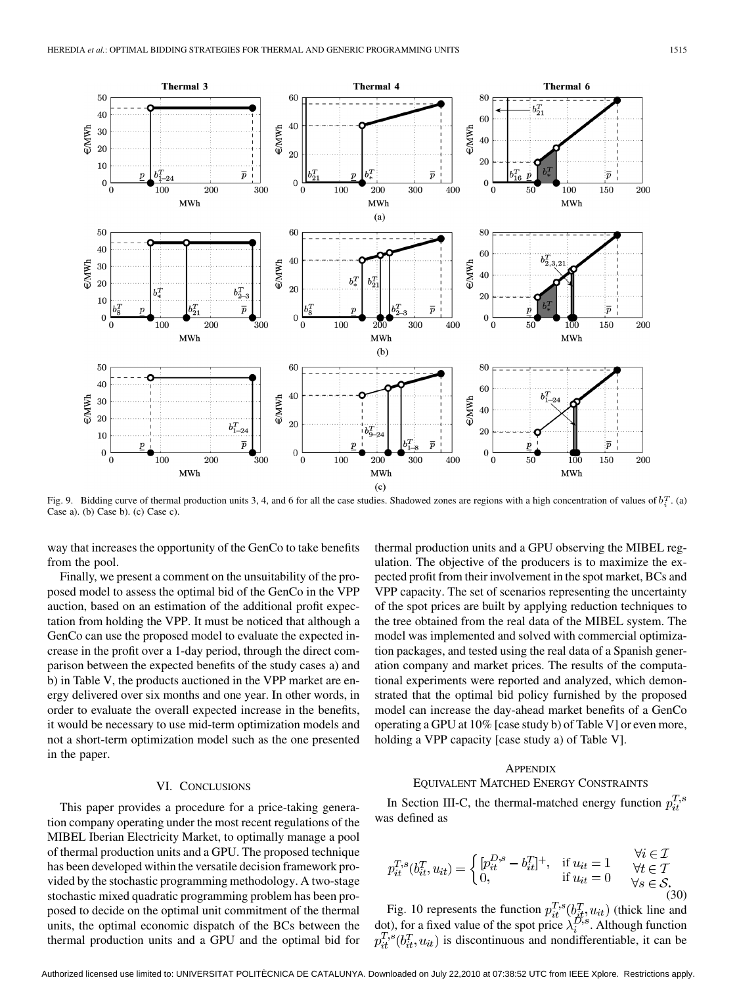

Fig. 9. Bidding curve of thermal production units 3, 4, and 6 for all the case studies. Shadowed zones are regions with a high concentration of values of  $b_i^T$ . (a) Case a). (b) Case b). (c) Case c).

way that increases the opportunity of the GenCo to take benefits from the pool.

Finally, we present a comment on the unsuitability of the proposed model to assess the optimal bid of the GenCo in the VPP auction, based on an estimation of the additional profit expectation from holding the VPP. It must be noticed that although a GenCo can use the proposed model to evaluate the expected increase in the profit over a 1-day period, through the direct comparison between the expected benefits of the study cases a) and b) in Table V, the products auctioned in the VPP market are energy delivered over six months and one year. In other words, in order to evaluate the overall expected increase in the benefits, it would be necessary to use mid-term optimization models and not a short-term optimization model such as the one presented in the paper.

# VI. CONCLUSIONS

This paper provides a procedure for a price-taking generation company operating under the most recent regulations of the MIBEL Iberian Electricity Market, to optimally manage a pool of thermal production units and a GPU. The proposed technique has been developed within the versatile decision framework provided by the stochastic programming methodology. A two-stage stochastic mixed quadratic programming problem has been proposed to decide on the optimal unit commitment of the thermal units, the optimal economic dispatch of the BCs between the thermal production units and a GPU and the optimal bid for thermal production units and a GPU observing the MIBEL regulation. The objective of the producers is to maximize the expected profit from their involvement in the spot market, BCs and VPP capacity. The set of scenarios representing the uncertainty of the spot prices are built by applying reduction techniques to the tree obtained from the real data of the MIBEL system. The model was implemented and solved with commercial optimization packages, and tested using the real data of a Spanish generation company and market prices. The results of the computational experiments were reported and analyzed, which demonstrated that the optimal bid policy furnished by the proposed model can increase the day-ahead market benefits of a GenCo operating a GPU at 10% [case study b) of Table V] or even more, holding a VPP capacity [case study a) of Table V].

## **APPENDIX**

# EQUIVALENT MATCHED ENERGY CONSTRAINTS

In Section III-C, the thermal-matched energy function  $p_{it}^{T,s}$ was defined as

$$
p_{it}^{T,s}(b_{it}^T, u_{it}) = \begin{cases} [p_{it}^{D,s} - b_{it}^T]^+, & \text{if } u_{it} = 1 & \forall t \in \mathcal{I} \\ 0, & \text{if } u_{it} = 0 & \forall s \in \mathcal{S}. \end{cases}
$$
(30)

Fig. 10 represents the function  $p_{it}^{T,s}(b_{it}^T, u_{it})$  (thick line and dot), for a fixed value of the spot price  $\lambda_i^{D,s}$ . Although function  $p_{it}^{T,s}(b_{it}^{T}, u_{it})$  is discontinuous and nondifferentiable, it can be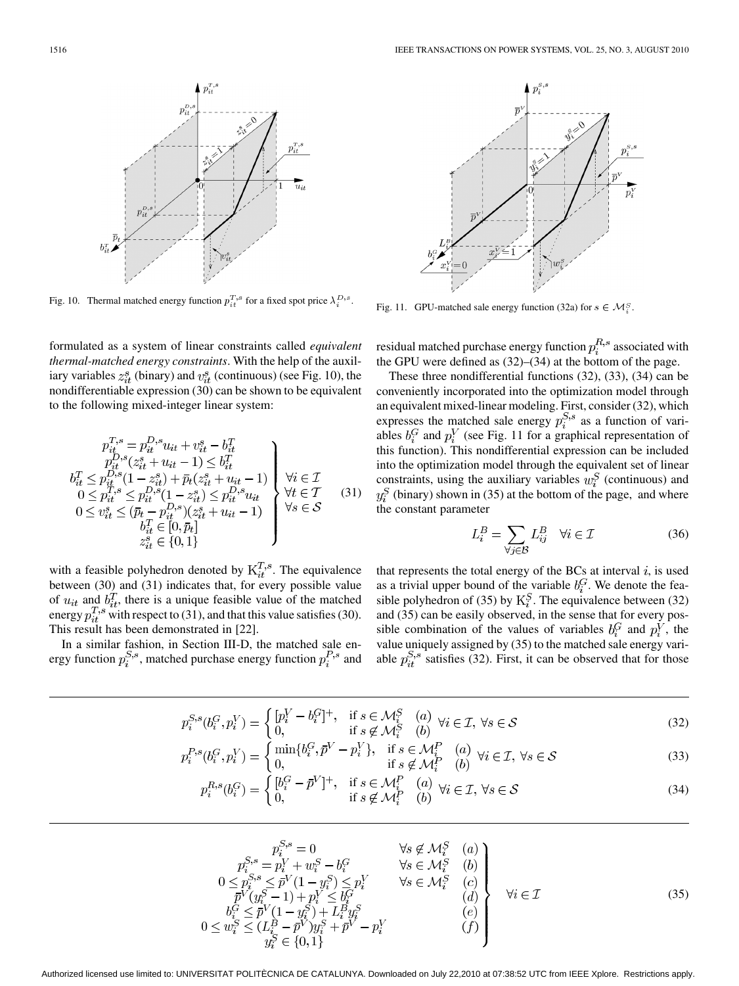

Fig. 10. Thermal matched energy function  $p_{it}^{T,s}$  for a fixed spot price  $\lambda_i^{D,s}$ .

formulated as a system of linear constraints called *equivalent thermal-matched energy constraints*. With the help of the auxiliary variables  $z_{it}^s$  (binary) and  $v_{it}^s$  (continuous) (see Fig. 10), the nondifferentiable expression (30) can be shown to be equivalent to the following mixed-integer linear system:

$$
p_{it}^{T,s} = p_{it}^{D,s} u_{it} + v_{it}^{s} - b_{it}^{T}
$$
  
\n
$$
p_{it}^{D,s}(z_{it}^{s} + u_{it} - 1) \leq b_{it}^{T}
$$
  
\n
$$
b_{it}^{T} \leq p_{it}^{D,s}(1 - z_{it}^{s}) + \bar{p}_{t}(z_{it}^{s} + u_{it} - 1)
$$
  
\n
$$
0 \leq p_{it}^{T,s} \leq p_{it}^{D,s}(1 - z_{it}^{s}) \leq p_{it}^{D,s} u_{it}
$$
  
\n
$$
0 \leq v_{it}^{s} \leq (\bar{p}_{t} - p_{it}^{D,s})(z_{it}^{s} + u_{it} - 1)
$$
  
\n
$$
b_{it}^{T} \in [0, \bar{p}_{t}]
$$
  
\n
$$
z_{it}^{s} \in \{0, 1\}
$$
  
\n
$$
\begin{cases}\n\forall i \in \mathcal{I} \\
\forall s \in \mathcal{S}\n\end{cases}
$$
\n(31)

with a feasible polyhedron denoted by  $K_{it}^{T,s}$ . The equivalence between (30) and (31) indicates that, for every possible value of  $u_{it}$  and  $b_{it}$ , there is a unique feasible value of the matched energy  $p_i^{1,s}$  with respect to (31), and that this value satisfies (30). This result has been demonstrated in [22].

In a similar fashion, in Section III-D, the matched sale energy function  $p_i^{S,s}$ , matched purchase energy function  $p_i^{P,s}$  and



Fig. 11. GPU-matched sale energy function (32a) for  $s \in \mathcal{M}_i^S$ .

residual matched purchase energy function  $p_i^{R,s}$  associated with the GPU were defined as (32)–(34) at the bottom of the page.

These three nondifferential functions (32), (33), (34) can be conveniently incorporated into the optimization model through an equivalent mixed-linear modeling. First, consider (32), which expresses the matched sale energy  $p_i^{S,s}$  as a function of variables  $b_i^G$  and  $p_i^V$  (see Fig. 11 for a graphical representation of this function). This nondifferential expression can be included into the optimization model through the equivalent set of linear constraints, using the auxiliary variables  $w_i^S$  (continuous) and  $y_i^S$  (binary) shown in (35) at the bottom of the page, and where the constant parameter

$$
L_i^B = \sum_{\forall j \in \mathcal{B}} L_{ij}^B \quad \forall i \in \mathcal{I}
$$
 (36)

that represents the total energy of the BCs at interval  $i$ , is used as a trivial upper bound of the variable  $b_i^G$ . We denote the feasible polyhedron of (35) by  $K_i^S$ . The equivalence between (32) and (35) can be easily observed, in the sense that for every possible combination of the values of variables  $b_i^G$  and  $p_i^V$ , the value uniquely assigned by (35) to the matched sale energy variable  $p_{it}^{s,s}$  satisfies (32). First, it can be observed that for those

$$
p_i^{S,s}(b_i^G, p_i^V) = \begin{cases} [p_i^V - b_i^G]^+, & \text{if } s \in \mathcal{M}_i^S \quad (a) \ \forall i \in \mathcal{I}, \ \forall s \in \mathcal{S} \\ 0, & \text{if } s \notin \mathcal{M}_i^S \quad (b) \end{cases} \tag{32}
$$

$$
p_i^{P,s}(b_i^G, p_i^V) = \begin{cases} \min\{b_i^G, \bar{p}^V - p_i^V\}, & \text{if } s \in \mathcal{M}_i^P\\ 0, & \text{if } s \notin \mathcal{M}_i^P \end{cases} \quad (a) \quad \forall i \in \mathcal{I}, \forall s \in \mathcal{S} \tag{33}
$$

$$
p_i^{R,s}(b_i^G) = \begin{cases} [b_i^G - \bar{p}^V]^+, & \text{if } s \in \mathcal{M}_i^P & (a) \\ 0, & \text{if } s \notin \mathcal{M}_i^P & (b) \end{cases} \quad \forall i \in \mathcal{I}, \forall s \in \mathcal{S}
$$
 (34)

$$
p_i^{S,s} = 0 \qquad \forall s \notin \mathcal{M}_i^S \quad (a)
$$
\n
$$
p_i^{S,s} = p_i^V + w_i^S - b_i^G \qquad \forall s \in \mathcal{M}_i^S \quad (b)
$$
\n
$$
0 \le p_i^{S,s} \le p^V (1 - y_i^S) \le p_i^V \qquad \forall s \in \mathcal{M}_i^S \quad (c)
$$
\n
$$
p_i^V (y_i^S - 1) + p_i^V \le b_i^G \qquad (d)
$$
\n
$$
b_i^G \le p^V (1 - y_i^S) + L_i^B y_i^S \qquad (e)
$$
\n
$$
0 \le w_i^S \le (L_i^B - p^V) y_i^S + p^V - p_i^V \qquad (f)
$$
\n
$$
y_i^S \in \{0, 1\}
$$
\n(35)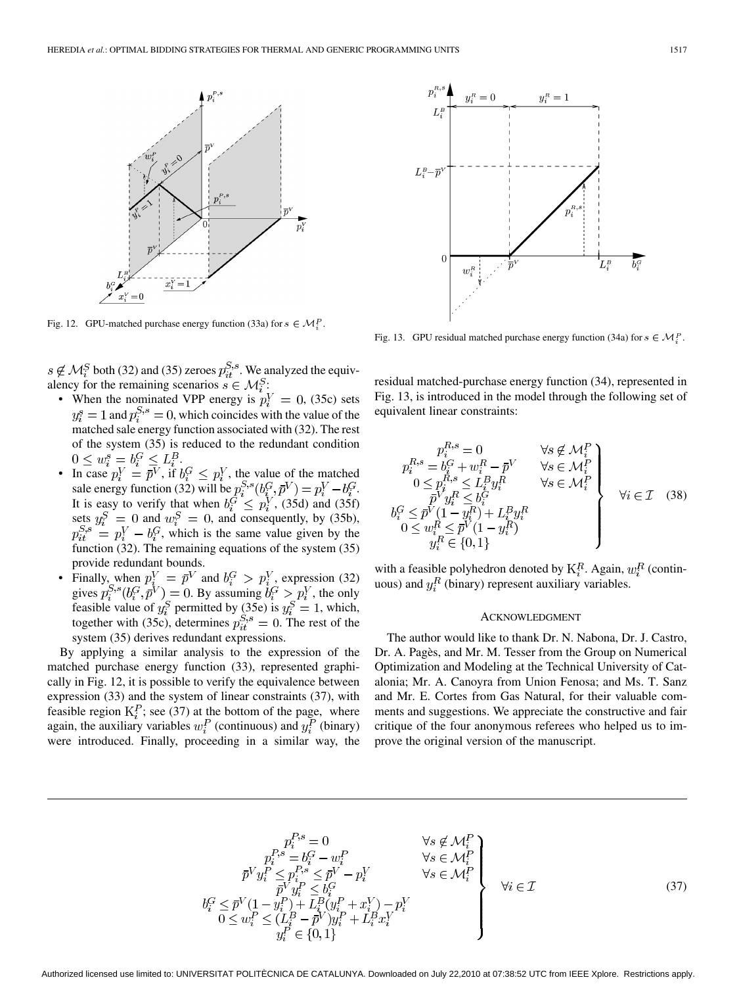

Fig. 12. GPU-matched purchase energy function (33a) for  $s \in \mathcal{M}_i^P$ .

 $s \notin \mathcal{M}_i^S$  both (32) and (35) zeroes  $p_{it}^{S,s}$ . We analyzed the equivalency for the remaining scenarios  $s \in \mathcal{M}_i^S$ :

- When the nominated VPP energy is  $p_i^V = 0$ , (35c) sets  $y_i^s = 1$  and  $p_i^{S,s} = 0$ , which coincides with the value of the matched sale energy function associated with (32). The rest of the system (35) is reduced to the redundant condition  $0 \le w_i^s = b_i^G \le L_i^B.$
- In case  $p_i^V = \overline{p}^V$ , if  $b_i^G \leq p_i^V$ , the value of the matched sale energy function (32) will be  $p_i^{S,s}(b_i^G, \bar{p}^V) = p_i^V - b_i^G$ . It is easy to verify that when  $b_i^G \n\leq p_i^V$ , (35d) and (35f) sets  $y_i^S = 0$  and  $w_i^S = 0$ , and consequently, by (35b), , which is the same value given by the function (32). The remaining equations of the system (35) provide redundant bounds.
- Finally, when  $p_i^V = \bar{p}^V$  and  $b_i^G > p_i^V$ , expression (32) gives  $p_i^{S,s}(b_i^G, \bar{p}^V) = 0$ . By assuming  $b_i^G > p_i^V$ , the only feasible value of  $y_i^S$  permitted by (35e) is  $y_i^S = 1$ , which, together with (35c), determines  $p_{it}^{S,s} = 0$ . The rest of the system (35) derives redundant expressions.

By applying a similar analysis to the expression of the matched purchase energy function (33), represented graphically in Fig. 12, it is possible to verify the equivalence between expression (33) and the system of linear constraints (37), with feasible region  $K_i^P$ ; see (37) at the bottom of the page, where again, the auxiliary variables  $w_i^P$  (continuous) and  $y_i^P$  (binary) were introduced. Finally, proceeding in a similar way, the



Fig. 13. GPU residual matched purchase energy function (34a) for  $s \in \mathcal{M}_i^P$ .

residual matched-purchase energy function (34), represented in Fig. 13, is introduced in the model through the following set of equivalent linear constraints:

$$
p_i^{R,s} = 0 \qquad \forall s \notin \mathcal{M}_i^P
$$
  
\n
$$
p_i^{R,s} = b_i^G + w_i^R - \bar{p}^V \qquad \forall s \in \mathcal{M}_i^P
$$
  
\n
$$
0 \leq p_i^{R,s} \leq L_i^B y_i^R \qquad \forall s \in \mathcal{M}_i^P
$$
  
\n
$$
b_i^G \leq \bar{p}^V (1 - y_i^R) + L_i^B y_i^R
$$
  
\n
$$
0 \leq w_i^R \leq \bar{p}^V (1 - y_i^R)
$$
  
\n
$$
y_i^R \in \{0,1\}
$$

with a feasible polyhedron denoted by  $K_i^R$ . Again,  $w_i^R$  (continuous) and  $y_i^R$  (binary) represent auxiliary variables.

#### ACKNOWLEDGMENT

The author would like to thank Dr. N. Nabona, Dr. J. Castro, Dr. A. Pagès, and Mr. M. Tesser from the Group on Numerical Optimization and Modeling at the Technical University of Catalonia; Mr. A. Canoyra from Union Fenosa; and Ms. T. Sanz and Mr. E. Cortes from Gas Natural, for their valuable comments and suggestions. We appreciate the constructive and fair critique of the four anonymous referees who helped us to improve the original version of the manuscript.

$$
p_i^{P,s} = 0 \qquad \forall s \notin \mathcal{M}_i^P
$$
  
\n
$$
p_i^{P,s} = b_i^G - w_i^P \qquad \forall s \in \mathcal{M}_i^P
$$
  
\n
$$
\bar{p}^V y_i^P \leq p_i^{P,s} \leq \bar{p}^V - p_i^V \qquad \forall s \in \mathcal{M}_i^P
$$
  
\n
$$
b_i^G \leq \bar{p}^V (1 - y_i^P) + L_i^B (y_i^P + x_i^V) - p_i^V
$$
  
\n
$$
0 \leq w_i^P \leq (L_i^B - \bar{p}^V) y_i^P + L_i^B x_i^V
$$
  
\n
$$
y_i^P \in \{0, 1\}
$$
  
\n(37)